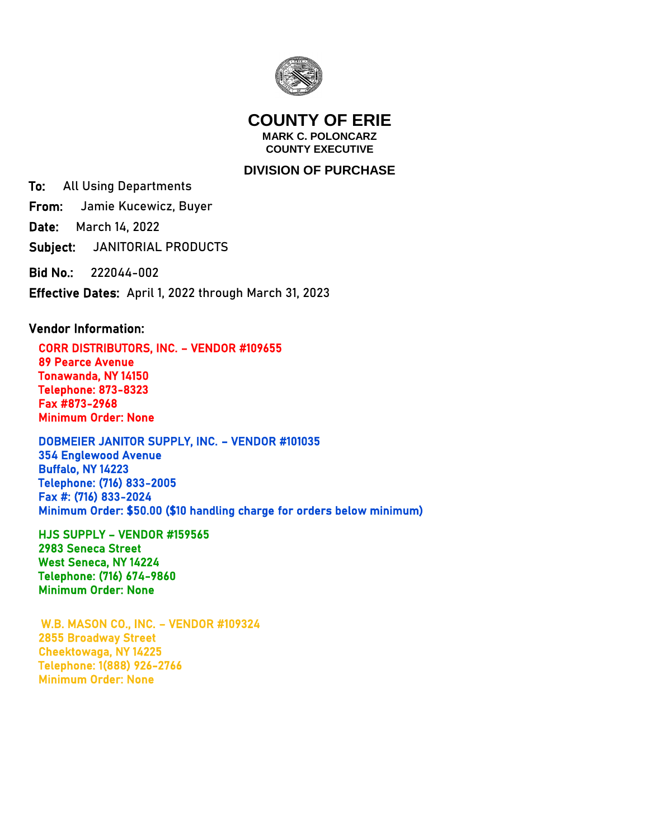

## **COUNTY OF ERIE MARK C. POLONCARZ COUNTY EXECUTIVE**

## **DIVISION OF PURCHASE**

To: All Using Departments

From: Jamie Kucewicz, Buyer

Date: March 14, 2022

Subject: JANITORIAL PRODUCTS

Bid No.: 222044-002

Effective Dates: April 1, 2022 through March 31, 2023

## Vendor Information:

 CORR DISTRIBUTORS, INC. – VENDOR #109655 89 Pearce Avenue Tonawanda, NY 14150 Telephone: 873-8323 Fax #873-2968 Minimum Order: None

 DOBMEIER JANITOR SUPPLY, INC. – VENDOR #101035 354 Englewood Avenue Buffalo, NY 14223 Telephone: (716) 833-2005 Fax #: (716) 833-2024 Minimum Order: \$50.00 (\$10 handling charge for orders below minimum)

 HJS SUPPLY – VENDOR #159565 2983 Seneca Street West Seneca, NY 14224 Telephone: (716) 674-9860 Minimum Order: None

 W.B. MASON CO., INC. – VENDOR #109324 2855 Broadway Street Cheektowaga, NY 14225 Telephone: 1(888) 926-2766 Minimum Order: None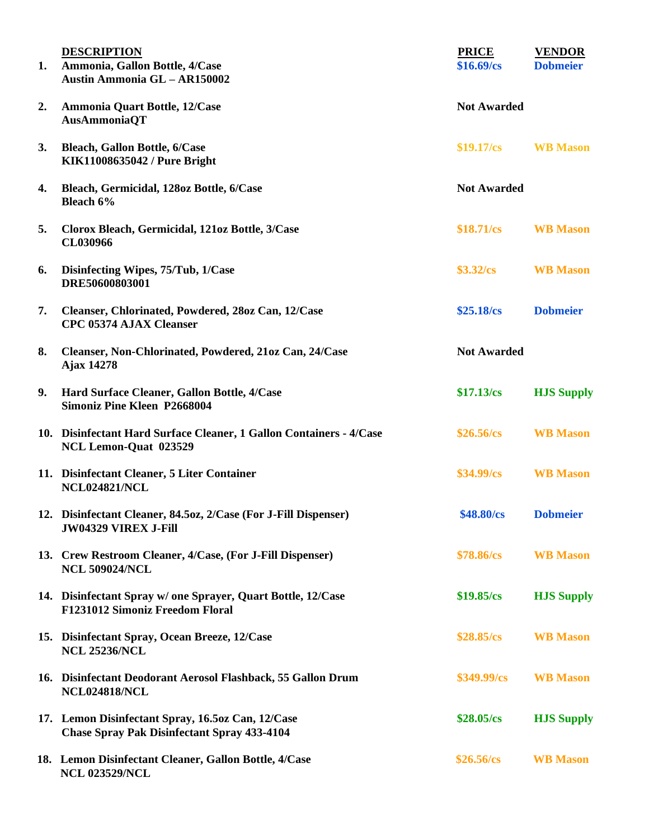| 1. | <b>DESCRIPTION</b><br>Ammonia, Gallon Bottle, 4/Case<br>Austin Ammonia GL - AR150002                    | <b>PRICE</b><br>\$16.69/cs | <b>VENDOR</b><br><b>Dobmeier</b> |
|----|---------------------------------------------------------------------------------------------------------|----------------------------|----------------------------------|
| 2. | Ammonia Quart Bottle, 12/Case<br>AusAmmoniaQT                                                           | <b>Not Awarded</b>         |                                  |
| 3. | <b>Bleach, Gallon Bottle, 6/Case</b><br>KIK11008635042 / Pure Bright                                    | $$19.17/\text{cs}$         | <b>WB</b> Mason                  |
| 4. | Bleach, Germicidal, 128oz Bottle, 6/Case<br>Bleach 6%                                                   | <b>Not Awarded</b>         |                                  |
| 5. | Clorox Bleach, Germicidal, 121oz Bottle, 3/Case<br>CL030966                                             | $$18.71/\text{cs}$         | <b>WB</b> Mason                  |
| 6. | Disinfecting Wipes, 75/Tub, 1/Case<br>DRE50600803001                                                    | \$3.32/cs                  | <b>WB</b> Mason                  |
| 7. | Cleanser, Chlorinated, Powdered, 28oz Can, 12/Case<br><b>CPC 05374 AJAX Cleanser</b>                    | \$25.18/cs                 | <b>Dobmeier</b>                  |
| 8. | Cleanser, Non-Chlorinated, Powdered, 21oz Can, 24/Case<br><b>Ajax 14278</b>                             | <b>Not Awarded</b>         |                                  |
| 9. | Hard Surface Cleaner, Gallon Bottle, 4/Case<br><b>Simoniz Pine Kleen P2668004</b>                       | \$17.13/cs                 | <b>HJS Supply</b>                |
|    | 10. Disinfectant Hard Surface Cleaner, 1 Gallon Containers - 4/Case<br>NCL Lemon-Quat 023529            | \$26.56/cs                 | <b>WB</b> Mason                  |
|    | 11. Disinfectant Cleaner, 5 Liter Container<br><b>NCL024821/NCL</b>                                     | \$34.99/cs                 | <b>WB</b> Mason                  |
|    | 12. Disinfectant Cleaner, 84.5oz, 2/Case (For J-Fill Dispenser)<br><b>JW04329 VIREX J-Fill</b>          | \$48.80/cs                 | <b>Dobmeier</b>                  |
|    | 13. Crew Restroom Cleaner, 4/Case, (For J-Fill Dispenser)<br><b>NCL 509024/NCL</b>                      | \$78.86/cs                 | <b>WB</b> Mason                  |
|    | 14. Disinfectant Spray w/ one Sprayer, Quart Bottle, 12/Case<br><b>F1231012 Simoniz Freedom Floral</b>  | \$19.85/cs                 | <b>HJS Supply</b>                |
|    | 15. Disinfectant Spray, Ocean Breeze, 12/Case<br><b>NCL 25236/NCL</b>                                   | $$28.85/\text{cs}$         | <b>WB</b> Mason                  |
|    | 16. Disinfectant Deodorant Aerosol Flashback, 55 Gallon Drum<br><b>NCL024818/NCL</b>                    | \$349.99/cs                | <b>WB</b> Mason                  |
|    | 17. Lemon Disinfectant Spray, 16.5oz Can, 12/Case<br><b>Chase Spray Pak Disinfectant Spray 433-4104</b> | \$28.05/cs                 | <b>HJS Supply</b>                |
|    | 18. Lemon Disinfectant Cleaner, Gallon Bottle, 4/Case<br><b>NCL 023529/NCL</b>                          | $$26.56/\text{cs}$         | <b>WB</b> Mason                  |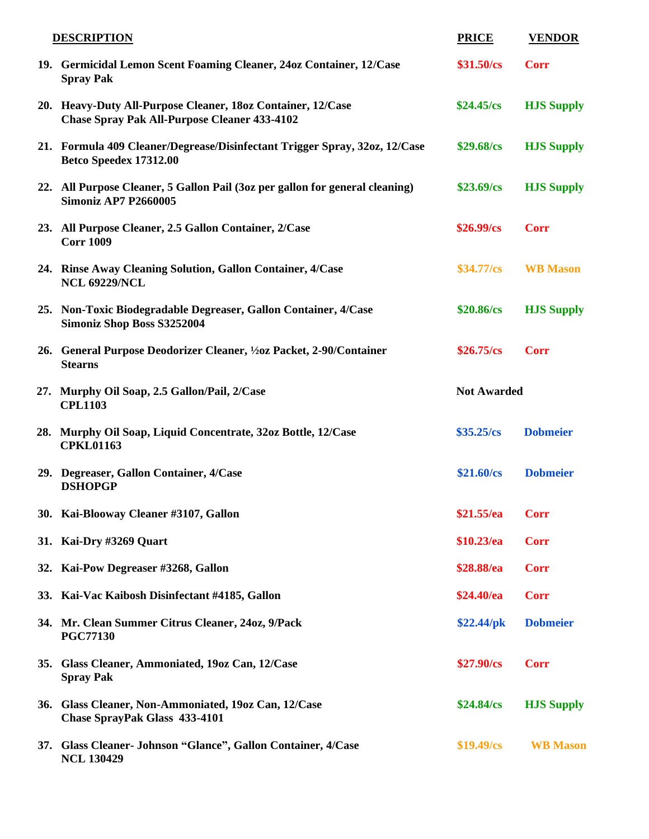|     | <b>DESCRIPTION</b>                                                                                                 | <b>PRICE</b>       | <b>VENDOR</b>     |
|-----|--------------------------------------------------------------------------------------------------------------------|--------------------|-------------------|
|     | 19. Germicidal Lemon Scent Foaming Cleaner, 24oz Container, 12/Case<br><b>Spray Pak</b>                            | \$31.50/cs         | <b>Corr</b>       |
|     | 20. Heavy-Duty All-Purpose Cleaner, 18oz Container, 12/Case<br><b>Chase Spray Pak All-Purpose Cleaner 433-4102</b> | $$24.45/\text{cs}$ | <b>HJS Supply</b> |
|     | 21. Formula 409 Cleaner/Degrease/Disinfectant Trigger Spray, 32oz, 12/Case<br>Betco Speedex 17312.00               | $$29.68/\text{cs}$ | <b>HJS Supply</b> |
|     | 22. All Purpose Cleaner, 5 Gallon Pail (3oz per gallon for general cleaning)<br><b>Simoniz AP7 P2660005</b>        | \$23.69/cs         | <b>HJS Supply</b> |
|     | 23. All Purpose Cleaner, 2.5 Gallon Container, 2/Case<br><b>Corr 1009</b>                                          | $$26.99/\text{cs}$ | <b>Corr</b>       |
|     | 24. Rinse Away Cleaning Solution, Gallon Container, 4/Case<br><b>NCL 69229/NCL</b>                                 | $$34.77/\text{cs}$ | <b>WB</b> Mason   |
|     | 25. Non-Toxic Biodegradable Degreaser, Gallon Container, 4/Case<br>Simoniz Shop Boss S3252004                      | \$20.86/cs         | <b>HJS Supply</b> |
|     | 26. General Purpose Deodorizer Cleaner, 1/202 Packet, 2-90/Container<br><b>Stearns</b>                             | $$26.75/\text{cs}$ | <b>Corr</b>       |
|     | 27. Murphy Oil Soap, 2.5 Gallon/Pail, 2/Case<br><b>CPL1103</b>                                                     | <b>Not Awarded</b> |                   |
|     | 28. Murphy Oil Soap, Liquid Concentrate, 32oz Bottle, 12/Case<br><b>CPKL01163</b>                                  | $$35.25/\text{cs}$ | <b>Dobmeier</b>   |
|     | 29. Degreaser, Gallon Container, 4/Case<br><b>DSHOPGP</b>                                                          | \$21.60/cs         | <b>Dobmeier</b>   |
|     | 30. Kai-Blooway Cleaner #3107, Gallon                                                                              | \$21.55/ea         | <b>Corr</b>       |
|     | 31. Kai-Dry #3269 Quart                                                                                            | \$10.23/ea         | <b>Corr</b>       |
|     | 32. Kai-Pow Degreaser #3268, Gallon                                                                                | \$28.88/ea         | <b>Corr</b>       |
|     | 33. Kai-Vac Kaibosh Disinfectant #4185, Gallon                                                                     | \$24.40/ea         | <b>Corr</b>       |
|     | 34. Mr. Clean Summer Citrus Cleaner, 24oz, 9/Pack<br><b>PGC77130</b>                                               | \$22.44/pk         | <b>Dobmeier</b>   |
|     | 35. Glass Cleaner, Ammoniated, 19oz Can, 12/Case<br><b>Spray Pak</b>                                               | $$27.90/\text{cs}$ | <b>Corr</b>       |
| 36. | Glass Cleaner, Non-Ammoniated, 19oz Can, 12/Case<br><b>Chase SprayPak Glass 433-4101</b>                           | $$24.84/\text{cs}$ | <b>HJS Supply</b> |
|     | 37. Glass Cleaner- Johnson "Glance", Gallon Container, 4/Case<br><b>NCL 130429</b>                                 | \$19.49/cs         | <b>WB</b> Mason   |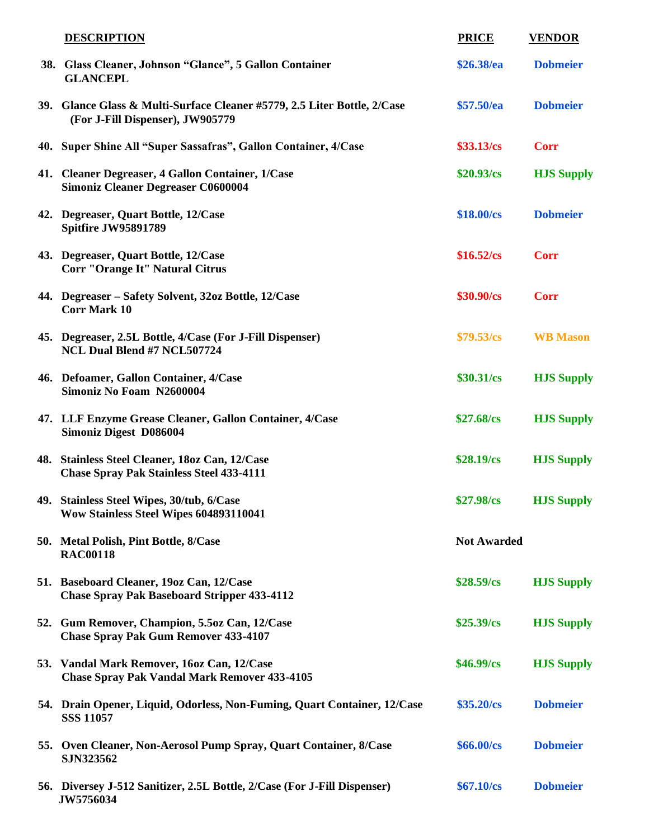| <b>DESCRIPTION</b>                                                                                           | <b>PRICE</b>       | <b>VENDOR</b>     |
|--------------------------------------------------------------------------------------------------------------|--------------------|-------------------|
| 38. Glass Cleaner, Johnson "Glance", 5 Gallon Container<br><b>GLANCEPL</b>                                   | \$26.38/ea         | <b>Dobmeier</b>   |
| 39. Glance Glass & Multi-Surface Cleaner #5779, 2.5 Liter Bottle, 2/Case<br>(For J-Fill Dispenser), JW905779 | \$57.50/ea         | <b>Dobmeier</b>   |
| 40. Super Shine All "Super Sassafras", Gallon Container, 4/Case                                              | \$33.13/cs         | <b>Corr</b>       |
| 41. Cleaner Degreaser, 4 Gallon Container, 1/Case<br><b>Simoniz Cleaner Degreaser C0600004</b>               | $$20.93/\text{cs}$ | <b>HJS Supply</b> |
| 42. Degreaser, Quart Bottle, 12/Case<br>Spitfire JW95891789                                                  | \$18.00/cs         | <b>Dobmeier</b>   |
| 43. Degreaser, Quart Bottle, 12/Case<br>Corr "Orange It" Natural Citrus                                      | \$16.52/cs         | <b>Corr</b>       |
| 44. Degreaser – Safety Solvent, 32oz Bottle, 12/Case<br><b>Corr Mark 10</b>                                  | \$30.90/cs         | <b>Corr</b>       |
| 45. Degreaser, 2.5L Bottle, 4/Case (For J-Fill Dispenser)<br>NCL Dual Blend #7 NCL507724                     | \$79.53/cs         | <b>WB</b> Mason   |
| 46. Defoamer, Gallon Container, 4/Case<br>Simoniz No Foam N2600004                                           | \$30.31/cs         | <b>HJS Supply</b> |
| 47. LLF Enzyme Grease Cleaner, Gallon Container, 4/Case<br><b>Simoniz Digest D086004</b>                     | $$27.68/\text{cs}$ | <b>HJS Supply</b> |
| 48. Stainless Steel Cleaner, 18oz Can, 12/Case<br><b>Chase Spray Pak Stainless Steel 433-4111</b>            | \$28.19/cs         | <b>HJS Supply</b> |
| 49. Stainless Steel Wipes, 30/tub, 6/Case<br>Wow Stainless Steel Wipes 604893110041                          | \$27.98/cs         | <b>HJS Supply</b> |
| 50. Metal Polish, Pint Bottle, 8/Case<br><b>RAC00118</b>                                                     | <b>Not Awarded</b> |                   |
| 51. Baseboard Cleaner, 19oz Can, 12/Case<br><b>Chase Spray Pak Baseboard Stripper 433-4112</b>               | \$28.59/cs         | <b>HJS Supply</b> |
| 52. Gum Remover, Champion, 5.5oz Can, 12/Case<br><b>Chase Spray Pak Gum Remover 433-4107</b>                 | \$25.39/cs         | <b>HJS Supply</b> |
| 53. Vandal Mark Remover, 16oz Can, 12/Case<br><b>Chase Spray Pak Vandal Mark Remover 433-4105</b>            | \$46.99/cs         | <b>HJS Supply</b> |
| 54. Drain Opener, Liquid, Odorless, Non-Fuming, Quart Container, 12/Case<br><b>SSS 11057</b>                 | $$35.20/\text{cs}$ | <b>Dobmeier</b>   |
| 55. Oven Cleaner, Non-Aerosol Pump Spray, Quart Container, 8/Case<br>SJN323562                               | \$66.00/cs         | <b>Dobmeier</b>   |
| 56. Diversey J-512 Sanitizer, 2.5L Bottle, 2/Case (For J-Fill Dispenser)<br>JW5756034                        | \$67.10/cs         | <b>Dobmeier</b>   |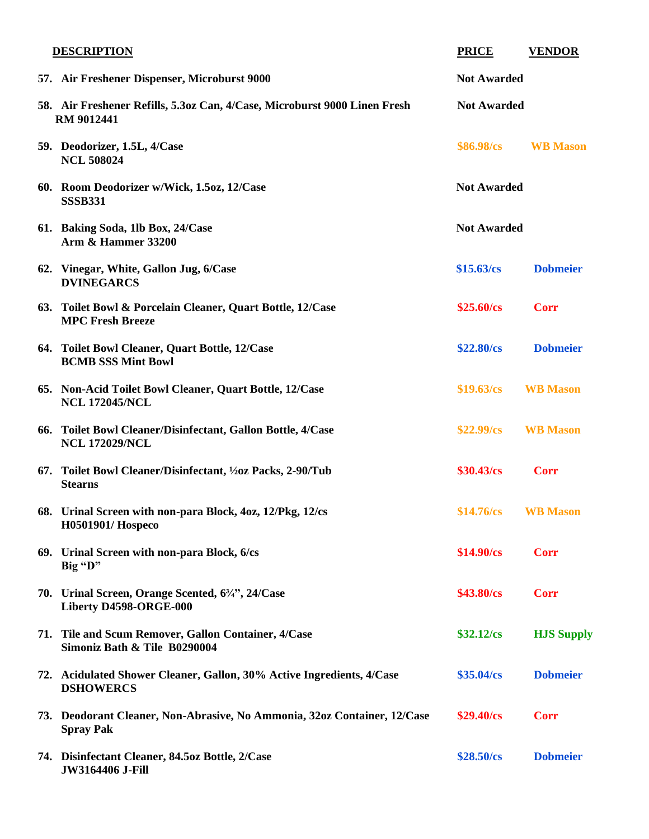| <b>DESCRIPTION</b>                                                                             | <b>PRICE</b>       | <b>VENDOR</b>      |
|------------------------------------------------------------------------------------------------|--------------------|--------------------|
| 57. Air Freshener Dispenser, Microburst 9000                                                   | <b>Not Awarded</b> |                    |
| 58. Air Freshener Refills, 5.3oz Can, 4/Case, Microburst 9000 Linen Fresh<br><b>RM 9012441</b> |                    | <b>Not Awarded</b> |
| 59. Deodorizer, 1.5L, 4/Case<br><b>NCL 508024</b>                                              | \$86.98/cs         | <b>WB</b> Mason    |
| 60. Room Deodorizer w/Wick, 1.5oz, 12/Case<br><b>SSSB331</b>                                   | <b>Not Awarded</b> |                    |
| 61. Baking Soda, 1lb Box, 24/Case<br><b>Arm &amp; Hammer 33200</b>                             | <b>Not Awarded</b> |                    |
| 62. Vinegar, White, Gallon Jug, 6/Case<br><b>DVINEGARCS</b>                                    | \$15.63/cs         | <b>Dobmeier</b>    |
| 63. Toilet Bowl & Porcelain Cleaner, Quart Bottle, 12/Case<br><b>MPC Fresh Breeze</b>          | $$25.60/\text{cs}$ | <b>Corr</b>        |
| 64. Toilet Bowl Cleaner, Quart Bottle, 12/Case<br><b>BCMB SSS Mint Bowl</b>                    | \$22.80/cs         | <b>Dobmeier</b>    |
| 65. Non-Acid Toilet Bowl Cleaner, Quart Bottle, 12/Case<br><b>NCL 172045/NCL</b>               | \$19.63/cs         | <b>WB</b> Mason    |
| 66. Toilet Bowl Cleaner/Disinfectant, Gallon Bottle, 4/Case<br><b>NCL 172029/NCL</b>           | \$22.99/cs         | <b>WB</b> Mason    |
| 67. Toilet Bowl Cleaner/Disinfectant, 1/20z Packs, 2-90/Tub<br><b>Stearns</b>                  | \$30.43/cs         | <b>Corr</b>        |
| 68. Urinal Screen with non-para Block, 4oz, 12/Pkg, 12/cs<br>H0501901/ Hospeco                 | \$14.76/cs         | <b>WB</b> Mason    |
| 69. Urinal Screen with non-para Block, 6/cs<br>Big "D"                                         | $$14.90/\text{cs}$ | <b>Corr</b>        |
| 70. Urinal Screen, Orange Scented, 63/4", 24/Case<br>Liberty D4598-ORGE-000                    | \$43.80/cs         | <b>Corr</b>        |
| 71. Tile and Scum Remover, Gallon Container, 4/Case<br>Simoniz Bath & Tile B0290004            | $$32.12/\text{cs}$ | <b>HJS Supply</b>  |
| 72. Acidulated Shower Cleaner, Gallon, 30% Active Ingredients, 4/Case<br><b>DSHOWERCS</b>      | \$35.04/cs         | <b>Dobmeier</b>    |
| 73. Deodorant Cleaner, Non-Abrasive, No Ammonia, 32oz Container, 12/Case<br><b>Spray Pak</b>   | $$29.40/\text{cs}$ | <b>Corr</b>        |
| 74. Disinfectant Cleaner, 84.5oz Bottle, 2/Case<br><b>JW3164406 J-Fill</b>                     | \$28.50/cs         | <b>Dobmeier</b>    |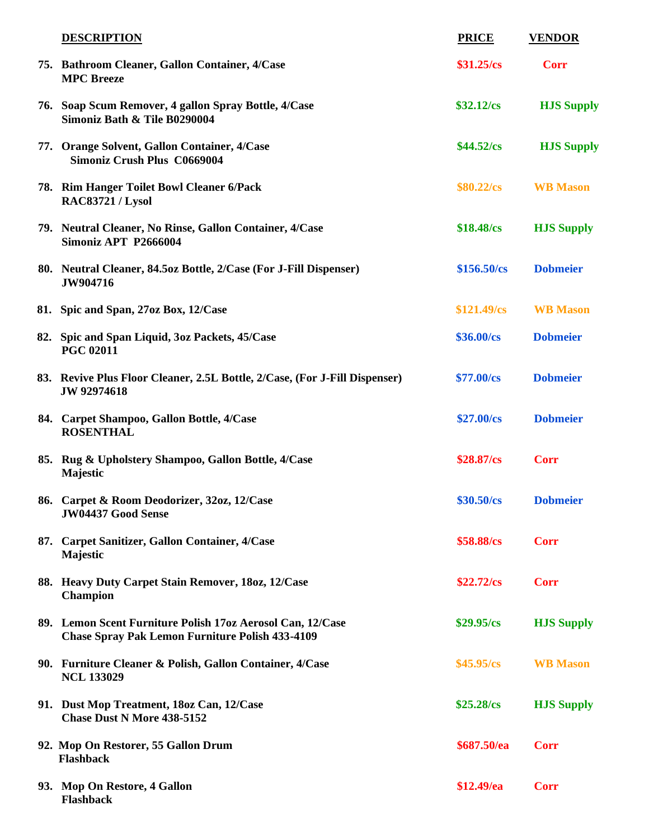| <b>DESCRIPTION</b>                                                                                                   | <b>PRICE</b>        | <b>VENDOR</b>     |
|----------------------------------------------------------------------------------------------------------------------|---------------------|-------------------|
| 75. Bathroom Cleaner, Gallon Container, 4/Case<br><b>MPC</b> Breeze                                                  | $$31.25/\text{cs}$  | <b>Corr</b>       |
| 76. Soap Scum Remover, 4 gallon Spray Bottle, 4/Case<br>Simoniz Bath & Tile B0290004                                 | $$32.12/\text{cs}$  | <b>HJS Supply</b> |
| 77. Orange Solvent, Gallon Container, 4/Case<br>Simoniz Crush Plus C0669004                                          | $$44.52/\text{cs}$  | <b>HJS Supply</b> |
| 78. Rim Hanger Toilet Bowl Cleaner 6/Pack<br>RAC83721 / Lysol                                                        | $$80.22/\text{cs}$  | <b>WB</b> Mason   |
| 79. Neutral Cleaner, No Rinse, Gallon Container, 4/Case<br><b>Simoniz APT P2666004</b>                               | $$18.48/\text{cs}$  | <b>HJS Supply</b> |
| 80. Neutral Cleaner, 84.5oz Bottle, 2/Case (For J-Fill Dispenser)<br>JW904716                                        | $$156.50/\text{cs}$ | <b>Dobmeier</b>   |
| 81. Spic and Span, 27oz Box, 12/Case                                                                                 | \$121.49/cs         | <b>WB</b> Mason   |
| 82. Spic and Span Liquid, 3oz Packets, 45/Case<br><b>PGC 02011</b>                                                   | \$36.00/cs          | <b>Dobmeier</b>   |
| 83. Revive Plus Floor Cleaner, 2.5L Bottle, 2/Case, (For J-Fill Dispenser)<br>JW 92974618                            | \$77.00/cs          | <b>Dobmeier</b>   |
| 84. Carpet Shampoo, Gallon Bottle, 4/Case<br><b>ROSENTHAL</b>                                                        | \$27.00/cs          | <b>Dobmeier</b>   |
| 85. Rug & Upholstery Shampoo, Gallon Bottle, 4/Case<br>Majestic                                                      | $$28.87/\text{cs}$  | <b>Corr</b>       |
| 86. Carpet & Room Deodorizer, 32oz, 12/Case<br><b>JW04437 Good Sense</b>                                             | \$30.50/cs          | <b>Dobmeier</b>   |
| 87. Carpet Sanitizer, Gallon Container, 4/Case<br>Majestic                                                           | \$58.88/cs          | <b>Corr</b>       |
| 88. Heavy Duty Carpet Stain Remover, 180z, 12/Case<br><b>Champion</b>                                                | $$22.72/\text{cs}$  | <b>Corr</b>       |
| 89. Lemon Scent Furniture Polish 17oz Aerosol Can, 12/Case<br><b>Chase Spray Pak Lemon Furniture Polish 433-4109</b> | \$29.95/cs          | <b>HJS Supply</b> |
| 90. Furniture Cleaner & Polish, Gallon Container, 4/Case<br><b>NCL 133029</b>                                        | $$45.95/\text{cs}$  | <b>WB</b> Mason   |
| 91. Dust Mop Treatment, 180z Can, 12/Case<br><b>Chase Dust N More 438-5152</b>                                       | $$25.28/\text{cs}$  | <b>HJS Supply</b> |
| 92. Mop On Restorer, 55 Gallon Drum<br><b>Flashback</b>                                                              | \$687.50/ea         | <b>Corr</b>       |
| 93. Mop On Restore, 4 Gallon<br><b>Flashback</b>                                                                     | \$12.49/ea          | <b>Corr</b>       |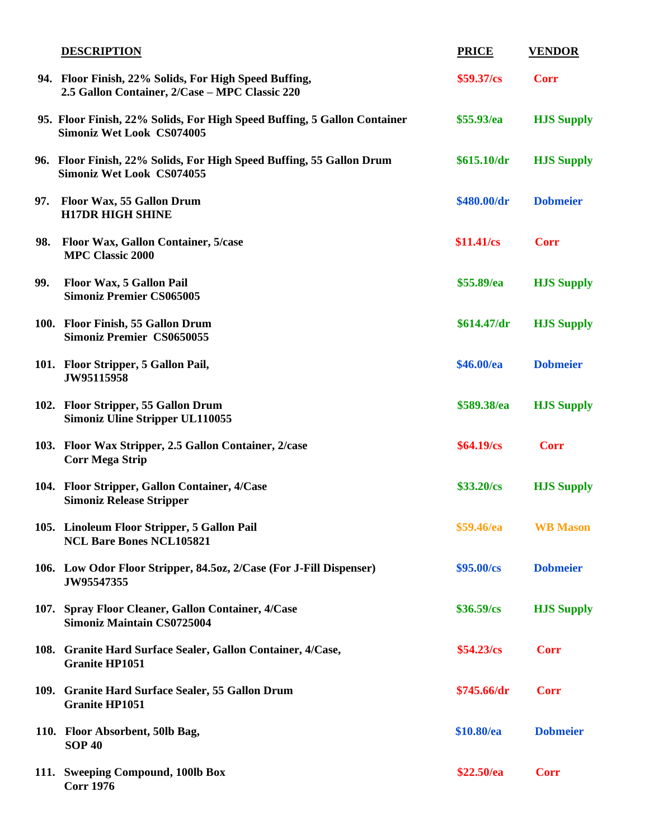|     | <b>DESCRIPTION</b>                                                                                           | <b>PRICE</b>       | <b>VENDOR</b>     |
|-----|--------------------------------------------------------------------------------------------------------------|--------------------|-------------------|
|     | 94. Floor Finish, 22% Solids, For High Speed Buffing,<br>2.5 Gallon Container, 2/Case - MPC Classic 220      | \$59.37/cs         | <b>Corr</b>       |
|     | 95. Floor Finish, 22% Solids, For High Speed Buffing, 5 Gallon Container<br><b>Simoniz Wet Look CS074005</b> | \$55.93/ea         | <b>HJS Supply</b> |
|     | 96. Floor Finish, 22% Solids, For High Speed Buffing, 55 Gallon Drum<br><b>Simoniz Wet Look CS074055</b>     | \$615.10/dr        | <b>HJS Supply</b> |
| 97. | Floor Wax, 55 Gallon Drum<br><b>H17DR HIGH SHINE</b>                                                         | \$480.00/dr        | <b>Dobmeier</b>   |
| 98. | Floor Wax, Gallon Container, 5/case<br><b>MPC Classic 2000</b>                                               | \$11.41/cs         | <b>Corr</b>       |
| 99. | Floor Wax, 5 Gallon Pail<br><b>Simoniz Premier CS065005</b>                                                  | \$55.89/ea         | <b>HJS Supply</b> |
|     | 100. Floor Finish, 55 Gallon Drum<br><b>Simoniz Premier CS0650055</b>                                        | \$614.47/dr        | <b>HJS Supply</b> |
|     | 101. Floor Stripper, 5 Gallon Pail,<br>JW95115958                                                            | \$46.00/ea         | <b>Dobmeier</b>   |
|     | 102. Floor Stripper, 55 Gallon Drum<br><b>Simoniz Uline Stripper UL110055</b>                                | \$589.38/ea        | <b>HJS Supply</b> |
|     | 103. Floor Wax Stripper, 2.5 Gallon Container, 2/case<br><b>Corr Mega Strip</b>                              | $$64.19\text{/cs}$ | <b>Corr</b>       |
|     | 104. Floor Stripper, Gallon Container, 4/Case<br><b>Simoniz Release Stripper</b>                             | \$33.20/cs         | <b>HJS Supply</b> |
|     | 105. Linoleum Floor Stripper, 5 Gallon Pail<br><b>NCL Bare Bones NCL105821</b>                               | \$59.46/ea         | <b>WB</b> Mason   |
|     | 106. Low Odor Floor Stripper, 84.5oz, 2/Case (For J-Fill Dispenser)<br>JW95547355                            | \$95.00/cs         | <b>Dobmeier</b>   |
|     | 107. Spray Floor Cleaner, Gallon Container, 4/Case<br><b>Simoniz Maintain CS0725004</b>                      | \$36.59/cs         | <b>HJS Supply</b> |
|     | 108. Granite Hard Surface Sealer, Gallon Container, 4/Case,<br><b>Granite HP1051</b>                         | \$54.23/cs         | <b>Corr</b>       |
|     | 109. Granite Hard Surface Sealer, 55 Gallon Drum<br><b>Granite HP1051</b>                                    | \$745.66/dr        | <b>Corr</b>       |
|     | 110. Floor Absorbent, 50lb Bag,<br><b>SOP 40</b>                                                             | \$10.80/ea         | <b>Dobmeier</b>   |
|     | 111. Sweeping Compound, 100lb Box<br><b>Corr 1976</b>                                                        | \$22.50/ea         | <b>Corr</b>       |